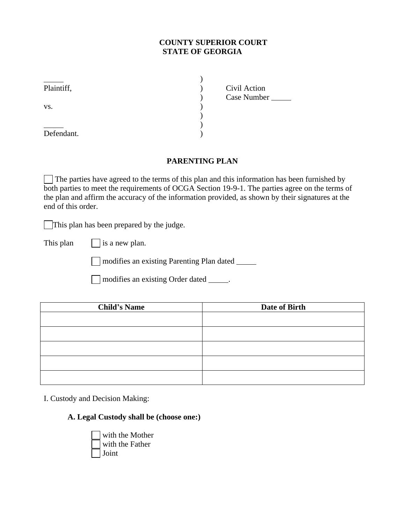# **COUNTY SUPERIOR COURT STATE OF GEORGIA**

| Plaintiff, | Civil Action |  |
|------------|--------------|--|
|            | Case Number  |  |
| VS.        |              |  |
|            |              |  |
|            |              |  |
| Defendant. |              |  |

### **PARENTING PLAN**

 The parties have agreed to the terms of this plan and this information has been furnished by both parties to meet the requirements of OCGA Section 19-9-1. The parties agree on the terms of the plan and affirm the accuracy of the information provided, as shown by their signatures at the end of this order.

This plan has been prepared by the judge.

This plan  $\vert$  is a new plan.

modifies an existing Parenting Plan dated

modifies an existing Order dated \_\_\_\_\_.

| <b>Child's Name</b> | Date of Birth |
|---------------------|---------------|
|                     |               |
|                     |               |
|                     |               |
|                     |               |
|                     |               |

I. Custody and Decision Making:

**A. Legal Custody shall be (choose one:)**

 with the Mother with the Father Joint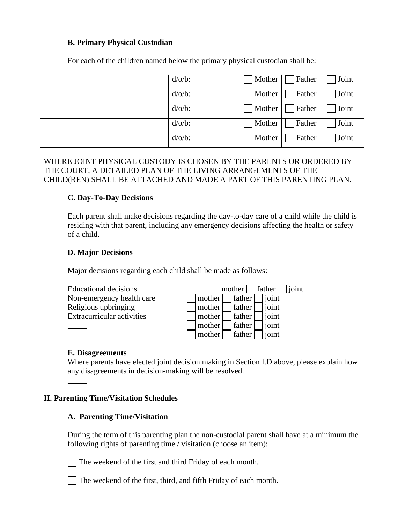### **B. Primary Physical Custodian**

| $d/o/b$ : | Mother | Father | Joint |
|-----------|--------|--------|-------|
| $d/o/b$ : | Mother | Father | Joint |
| $d/o/b$ : | Mother | Father | Joint |
| $d/o/b$ : | Mother | Father | Joint |
| $d/o/b$ : | Mother | Father | Joint |

For each of the children named below the primary physical custodian shall be:

# WHERE JOINT PHYSICAL CUSTODY IS CHOSEN BY THE PARENTS OR ORDERED BY THE COURT, A DETAILED PLAN OF THE LIVING ARRANGEMENTS OF THE CHILD(REN) SHALL BE ATTACHED AND MADE A PART OF THIS PARENTING PLAN.

### **C. Day-To-Day Decisions**

Each parent shall make decisions regarding the day-to-day care of a child while the child is residing with that parent, including any emergency decisions affecting the health or safety of a child.

### **D. Major Decisions**

Major decisions regarding each child shall be made as follows:



#### **E. Disagreements**

Where parents have elected joint decision making in Section I.D above, please explain how any disagreements in decision-making will be resolved.

### **II. Parenting Time/Visitation Schedules**

#### **A. Parenting Time/Visitation**

During the term of this parenting plan the non-custodial parent shall have at a minimum the following rights of parenting time / visitation (choose an item):

The weekend of the first and third Friday of each month.

The weekend of the first, third, and fifth Friday of each month.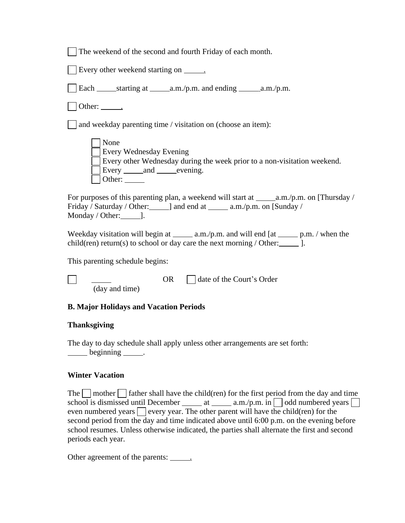|  | The weekend of the second and fourth Friday of each month. |  |
|--|------------------------------------------------------------|--|
|--|------------------------------------------------------------|--|

|  | Every other weekend starting on |  |  |
|--|---------------------------------|--|--|
|  |                                 |  |  |

Each starting at a.m./p.m. and ending a.m./p.m.

Other: .

and weekday parenting time / visitation on (choose an item):

| None                                                                     |
|--------------------------------------------------------------------------|
| Every Wednesday Evening                                                  |
| Every other Wednesday during the week prior to a non-visitation weekend. |
| Every and evening.                                                       |
| Other:                                                                   |

For purposes of this parenting plan, a weekend will start at  $\_\_\_\a.m./p.m.$  on [Thursday / Friday / Saturday / Other: 1 and end at 1 a.m./p.m. on [Sunday / Monday / Other: $\qquad$ ].

Weekday visitation will begin at  $\_\_\_\$ a.m./p.m. and will end [at  $\_\_\_\$ p.m. / when the child(ren) return(s) to school or day care the next morning  $/$  Other:  $\qquad$  ].

This parenting schedule begins:

OR  $\Box$  date of the Court's Order (day and time)

# **B. Major Holidays and Vacation Periods**

# **Thanksgiving**

The day to day schedule shall apply unless other arrangements are set forth: beginning .

### **Winter Vacation**

The  $\Box$  mother  $\Box$  father shall have the child(ren) for the first period from the day and time school is dismissed until December  $\_\_\_\_\_\a$ .m./p.m. in  $\_\_\_\$ odd numbered years  $\_\_\_\_\_\_\$ even numbered years  $\Box$  every year. The other parent will have the child(ren) for the second period from the day and time indicated above until 6:00 p.m. on the evening before school resumes. Unless otherwise indicated, the parties shall alternate the first and second periods each year.

Other agreement of the parents: \_\_\_\_\_\_\_.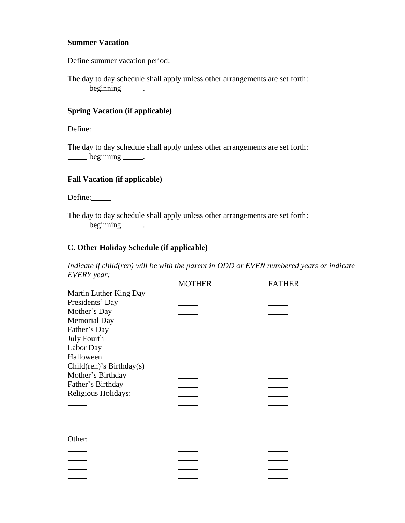#### **Summer Vacation**

Define summer vacation period:

The day to day schedule shall apply unless other arrangements are set forth:  $\rule{1em}{0.15mm} \hline \n \begin{bmatrix}\n \text{beginning} \end{bmatrix}$ .

### **Spring Vacation (if applicable)**

Define:

The day to day schedule shall apply unless other arrangements are set forth: beginning .

# **Fall Vacation (if applicable)**

Define:

The day to day schedule shall apply unless other arrangements are set forth: beginning .

# **C. Other Holiday Schedule (if applicable)**

*Indicate if child(ren) will be with the parent in ODD or EVEN numbered years or indicate EVERY year:*

|                                 | <b>MOTHER</b> | <b>FATHER</b> |
|---------------------------------|---------------|---------------|
| Martin Luther King Day          |               |               |
| Presidents' Day                 |               |               |
| Mother's Day                    |               |               |
| <b>Memorial Day</b>             |               |               |
| Father's Day                    |               |               |
| <b>July Fourth</b>              |               |               |
| Labor Day                       |               |               |
| Halloween                       |               |               |
| Child $(ren)$ 's Birthday $(s)$ |               |               |
| Mother's Birthday               |               |               |
| Father's Birthday               |               |               |
| Religious Holidays:             |               |               |
|                                 |               |               |
|                                 |               |               |
|                                 |               |               |
|                                 |               |               |
| Other:                          |               |               |
|                                 |               |               |
|                                 |               |               |
|                                 |               |               |
|                                 |               |               |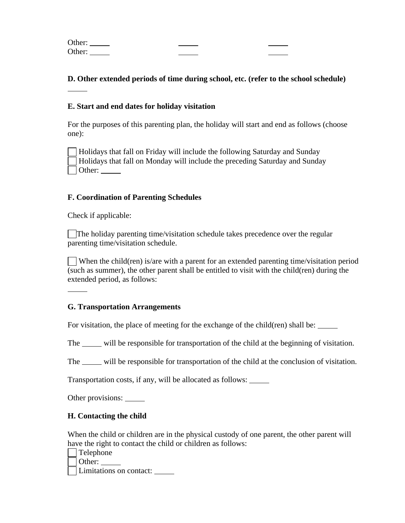Other: Other:

# **D. Other extended periods of time during school, etc. (refer to the school schedule)**

### **E. Start and end dates for holiday visitation**

For the purposes of this parenting plan, the holiday will start and end as follows (choose one):

 Holidays that fall on Friday will include the following Saturday and Sunday Holidays that fall on Monday will include the preceding Saturday and Sunday Other:

### **F. Coordination of Parenting Schedules**

Check if applicable:

The holiday parenting time/visitation schedule takes precedence over the regular parenting time/visitation schedule.

 When the child(ren) is/are with a parent for an extended parenting time/visitation period (such as summer), the other parent shall be entitled to visit with the child(ren) during the extended period, as follows:

### **G. Transportation Arrangements**

For visitation, the place of meeting for the exchange of the child(ren) shall be:

The <u>same</u> will be responsible for transportation of the child at the beginning of visitation.

The \_\_\_\_\_ will be responsible for transportation of the child at the conclusion of visitation.

Transportation costs, if any, will be allocated as follows:

Other provisions: \_\_\_\_\_\_\_

### **H. Contacting the child**

When the child or children are in the physical custody of one parent, the other parent will have the right to contact the child or children as follows:

Telephone

Other:

Limitations on contact: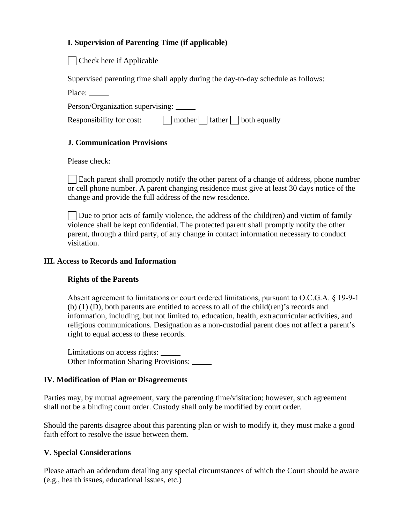# **I. Supervision of Parenting Time (if applicable)**

| Check here if Applicable

Supervised parenting time shall apply during the day-to-day schedule as follows:

Place:

Person/Organization supervising:

| Responsibility for cost: | $\Box$ mother $\Box$ father $\Box$ both equally |  |
|--------------------------|-------------------------------------------------|--|
|                          |                                                 |  |

# **J. Communication Provisions**

Please check:

 Each parent shall promptly notify the other parent of a change of address, phone number or cell phone number. A parent changing residence must give at least 30 days notice of the change and provide the full address of the new residence.

Due to prior acts of family violence, the address of the child(ren) and victim of family violence shall be kept confidential. The protected parent shall promptly notify the other parent, through a third party, of any change in contact information necessary to conduct visitation.

### **III. Access to Records and Information**

# **Rights of the Parents**

Absent agreement to limitations or court ordered limitations, pursuant to O.C.G.A. § 19-9-1 (b) (1) (D), both parents are entitled to access to all of the child(ren)'s records and information, including, but not limited to, education, health, extracurricular activities, and religious communications. Designation as a non-custodial parent does not affect a parent's right to equal access to these records.

Limitations on access rights: Other Information Sharing Provisions:

# **IV. Modification of Plan or Disagreements**

Parties may, by mutual agreement, vary the parenting time/visitation; however, such agreement shall not be a binding court order. Custody shall only be modified by court order.

Should the parents disagree about this parenting plan or wish to modify it, they must make a good faith effort to resolve the issue between them.

# **V. Special Considerations**

Please attach an addendum detailing any special circumstances of which the Court should be aware (e.g., health issues, educational issues, etc.)